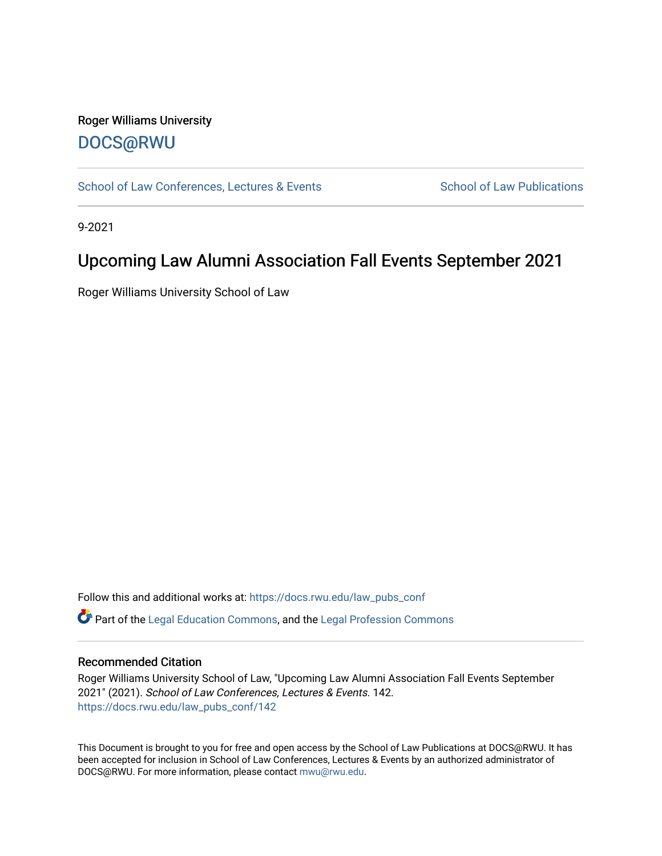### Roger Williams University [DOCS@RWU](https://docs.rwu.edu/)

[School of Law Conferences, Lectures & Events](https://docs.rwu.edu/law_pubs_conf) School of Law Publications

9-2021

## Upcoming Law Alumni Association Fall Events September 2021

Roger Williams University School of Law

Follow this and additional works at: [https://docs.rwu.edu/law\\_pubs\\_conf](https://docs.rwu.edu/law_pubs_conf?utm_source=docs.rwu.edu%2Flaw_pubs_conf%2F142&utm_medium=PDF&utm_campaign=PDFCoverPages)  Part of the [Legal Education Commons,](http://network.bepress.com/hgg/discipline/857?utm_source=docs.rwu.edu%2Flaw_pubs_conf%2F142&utm_medium=PDF&utm_campaign=PDFCoverPages) and the [Legal Profession Commons](http://network.bepress.com/hgg/discipline/1075?utm_source=docs.rwu.edu%2Flaw_pubs_conf%2F142&utm_medium=PDF&utm_campaign=PDFCoverPages) 

#### Recommended Citation

Roger Williams University School of Law, "Upcoming Law Alumni Association Fall Events September 2021" (2021). School of Law Conferences, Lectures & Events. 142. [https://docs.rwu.edu/law\\_pubs\\_conf/142](https://docs.rwu.edu/law_pubs_conf/142?utm_source=docs.rwu.edu%2Flaw_pubs_conf%2F142&utm_medium=PDF&utm_campaign=PDFCoverPages) 

This Document is brought to you for free and open access by the School of Law Publications at DOCS@RWU. It has been accepted for inclusion in School of Law Conferences, Lectures & Events by an authorized administrator of DOCS@RWU. For more information, please contact [mwu@rwu.edu.](mailto:mwu@rwu.edu)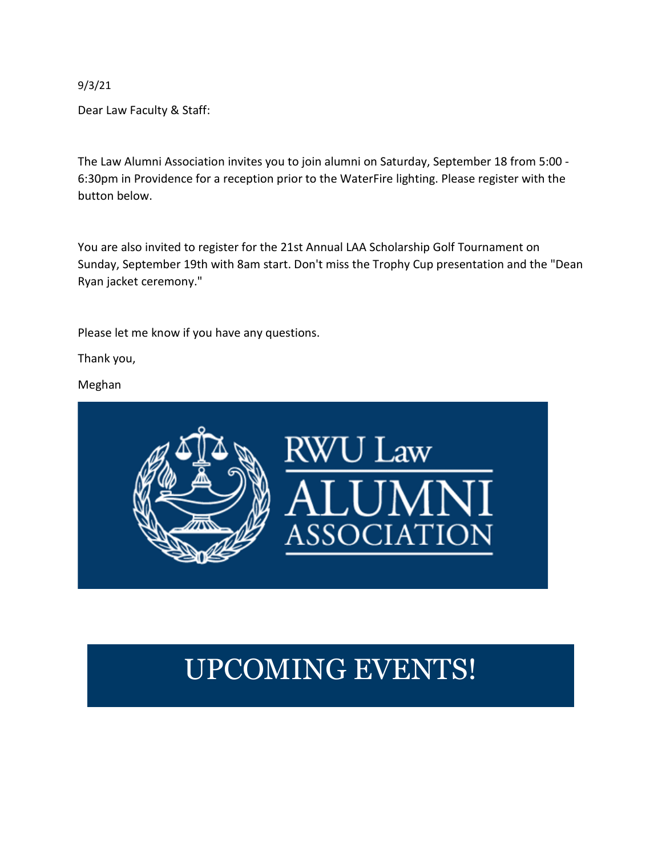9/3/21

Dear Law Faculty & Staff:

The Law Alumni Association invites you to join alumni on Saturday, September 18 from 5:00 - 6:30pm in Providence for a reception prior to the WaterFire lighting. Please register with the button below.

You are also invited to register for the 21st Annual LAA Scholarship Golf Tournament on Sunday, September 19th with 8am start. Don't miss the Trophy Cup presentation and the "Dean Ryan jacket ceremony."

Please let me know if you have any questions.

Thank you,

Meghan



# UPCOMING EVENTS!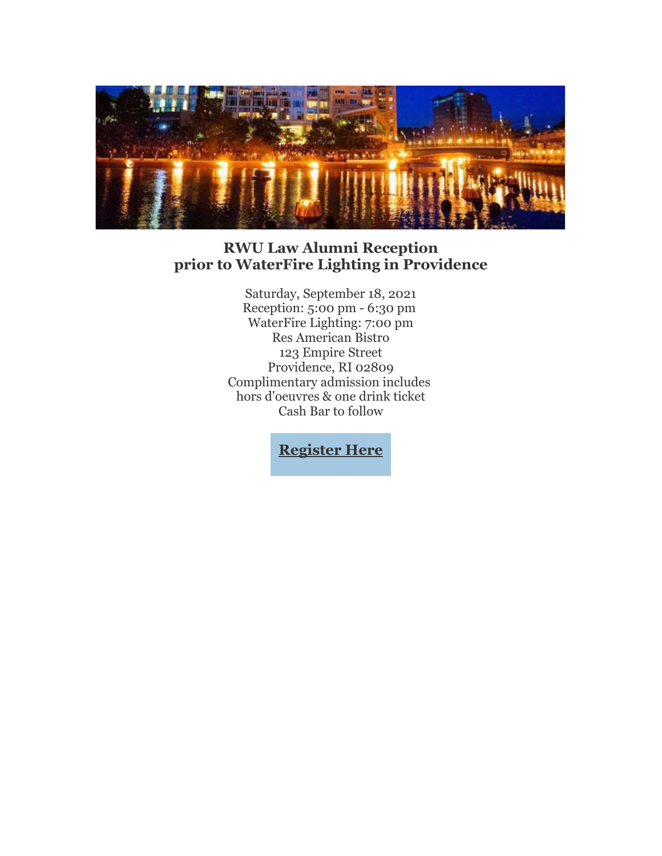

### **RWU Law Alumni Reception prior to WaterFire Lighting in Providence**

Saturday, September 18, 2021 Reception: 5:00 pm - 6:30 pm WaterFire Lighting: 7:00 pm Res American Bistro 123 Empire Street Providence, RI 02809 Complimentary admission includes hors d'oeuvres & one drink ticket Cash Bar to follow

**[Register Here](https://nam02.safelinks.protection.outlook.com/?url=https%3A%2F%2Feml-pusa01.app.blackbaud.net%2Fintv2%2Fj%2F930FE8B7-FC44-46B5-943D-C6656B9B28B4%2Fr%2F930FE8B7-FC44-46B5-943D-C6656B9B28B4_53c59dbd-c7fa-4a53-8d25-d38a6aab3de7%2Fl%2F90ED804B-C718-43EE-955F-7F0410AD492E%2Fc&data=04%7C01%7Ckmacandrew%40RWU.EDU%7C02eab32c078c4cda584d08d96f0d67f4%7Cd84edea239e2410aa672331c49c8c4e2%7C0%7C0%7C637662925652362514%7CUnknown%7CTWFpbGZsb3d8eyJWIjoiMC4wLjAwMDAiLCJQIjoiV2luMzIiLCJBTiI6Ik1haWwiLCJXVCI6Mn0%3D%7C1000&sdata=BIRQhJNH6kNivOgVjn5aQZ5XDp1zYlmBvG%2BIQy56C7U%3D&reserved=0)**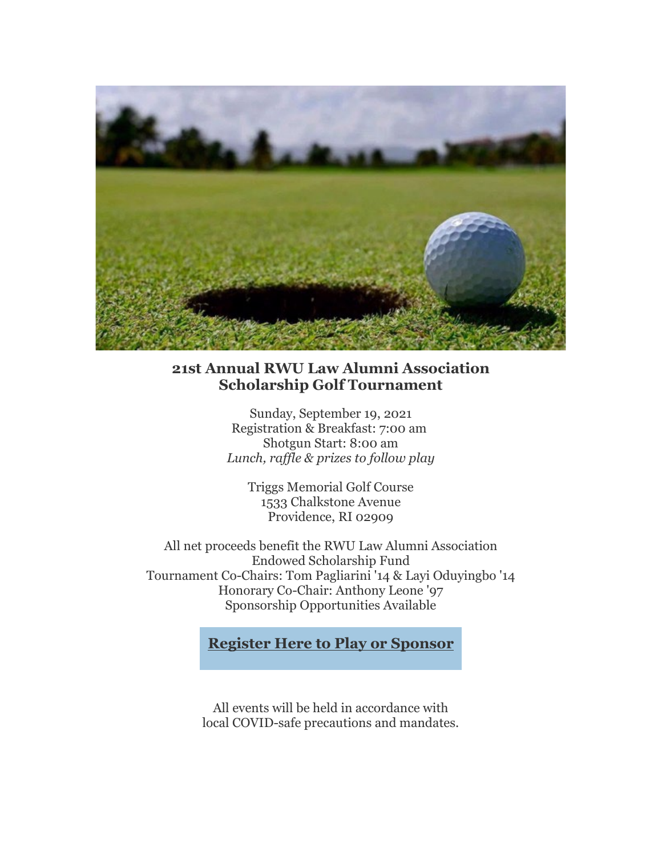

### **21st Annual RWU Law Alumni Association Scholarship Golf Tournament**

Sunday, September 19, 2021 Registration & Breakfast: 7:00 am Shotgun Start: 8:00 am *Lunch, raffle & prizes to follow play*

Triggs Memorial Golf Course 1533 Chalkstone Avenue Providence, RI 02909

All net proceeds benefit the RWU Law Alumni Association Endowed Scholarship Fund Tournament Co-Chairs: Tom Pagliarini '14 & Layi Oduyingbo '14 Honorary Co-Chair: Anthony Leone '97 Sponsorship Opportunities Available

**[Register Here to Play or Sponsor](https://nam02.safelinks.protection.outlook.com/?url=https%3A%2F%2Feml-pusa01.app.blackbaud.net%2Fintv2%2Fj%2F930FE8B7-FC44-46B5-943D-C6656B9B28B4%2Fr%2F930FE8B7-FC44-46B5-943D-C6656B9B28B4_53c59dbd-c7fa-4a53-8d25-d38a6aab3de7%2Fl%2F2C1D11B7-BB6A-4FF6-B458-41BEFDB98E99%2Fc&data=04%7C01%7Ckmacandrew%40RWU.EDU%7C02eab32c078c4cda584d08d96f0d67f4%7Cd84edea239e2410aa672331c49c8c4e2%7C0%7C0%7C637662925652362514%7CUnknown%7CTWFpbGZsb3d8eyJWIjoiMC4wLjAwMDAiLCJQIjoiV2luMzIiLCJBTiI6Ik1haWwiLCJXVCI6Mn0%3D%7C1000&sdata=MB08wPmtilr6AGrpQ21S5k%2FyKxi%2F00GD0VsO0EikN7w%3D&reserved=0)**

All events will be held in accordance with local COVID-safe precautions and mandates.